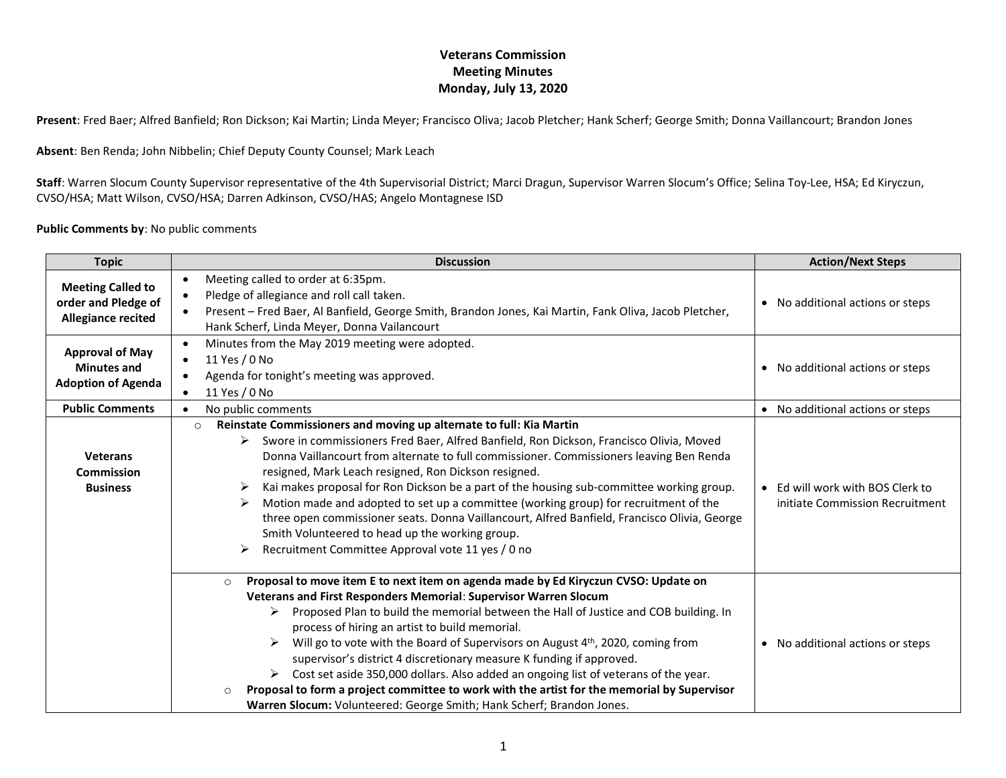**Present**: Fred Baer; Alfred Banfield; Ron Dickson; Kai Martin; Linda Meyer; Francisco Oliva; Jacob Pletcher; Hank Scherf; George Smith; Donna Vaillancourt; Brandon Jones

**Absent**: Ben Renda; John Nibbelin; Chief Deputy County Counsel; Mark Leach

**Staff**: Warren Slocum County Supervisor representative of the 4th Supervisorial District; Marci Dragun, Supervisor Warren Slocum's Office; Selina Toy-Lee, HSA; Ed Kiryczun, CVSO/HSA; Matt Wilson, CVSO/HSA; Darren Adkinson, CVSO/HAS; Angelo Montagnese ISD

#### **Public Comments by**: No public comments

| <b>Topic</b>                                                                 | <b>Discussion</b>                                                                                                                                                                                                                                                                                                                                                                                                                                                                                                                                                                                                                                                                                                                                                                    | <b>Action/Next Steps</b>                                            |
|------------------------------------------------------------------------------|--------------------------------------------------------------------------------------------------------------------------------------------------------------------------------------------------------------------------------------------------------------------------------------------------------------------------------------------------------------------------------------------------------------------------------------------------------------------------------------------------------------------------------------------------------------------------------------------------------------------------------------------------------------------------------------------------------------------------------------------------------------------------------------|---------------------------------------------------------------------|
| <b>Meeting Called to</b><br>order and Pledge of<br><b>Allegiance recited</b> | Meeting called to order at 6:35pm.<br>$\bullet$<br>Pledge of allegiance and roll call taken.<br>Present - Fred Baer, Al Banfield, George Smith, Brandon Jones, Kai Martin, Fank Oliva, Jacob Pletcher,<br>$\bullet$<br>Hank Scherf, Linda Meyer, Donna Vailancourt                                                                                                                                                                                                                                                                                                                                                                                                                                                                                                                   | • No additional actions or steps                                    |
| <b>Approval of May</b><br><b>Minutes and</b><br><b>Adoption of Agenda</b>    | Minutes from the May 2019 meeting were adopted.<br>$\bullet$<br>11 Yes / 0 No<br>$\bullet$<br>Agenda for tonight's meeting was approved.<br>11 Yes / 0 No                                                                                                                                                                                                                                                                                                                                                                                                                                                                                                                                                                                                                            | • No additional actions or steps                                    |
| <b>Public Comments</b>                                                       | No public comments                                                                                                                                                                                                                                                                                                                                                                                                                                                                                                                                                                                                                                                                                                                                                                   | • No additional actions or steps                                    |
| <b>Veterans</b><br>Commission<br><b>Business</b>                             | Reinstate Commissioners and moving up alternate to full: Kia Martin<br>$\circ$<br>Swore in commissioners Fred Baer, Alfred Banfield, Ron Dickson, Francisco Olivia, Moved<br>➤<br>Donna Vaillancourt from alternate to full commissioner. Commissioners leaving Ben Renda<br>resigned, Mark Leach resigned, Ron Dickson resigned.<br>Kai makes proposal for Ron Dickson be a part of the housing sub-committee working group.<br>➤<br>Motion made and adopted to set up a committee (working group) for recruitment of the<br>➤<br>three open commissioner seats. Donna Vaillancourt, Alfred Banfield, Francisco Olivia, George<br>Smith Volunteered to head up the working group.<br>Recruitment Committee Approval vote 11 yes / 0 no<br>➤                                         | • Ed will work with BOS Clerk to<br>initiate Commission Recruitment |
|                                                                              | Proposal to move item E to next item on agenda made by Ed Kiryczun CVSO: Update on<br>$\circ$<br>Veterans and First Responders Memorial: Supervisor Warren Slocum<br>Proposed Plan to build the memorial between the Hall of Justice and COB building. In<br>≻<br>process of hiring an artist to build memorial.<br>Will go to vote with the Board of Supervisors on August 4 <sup>th</sup> , 2020, coming from<br>$\blacktriangleright$<br>supervisor's district 4 discretionary measure K funding if approved.<br>Cost set aside 350,000 dollars. Also added an ongoing list of veterans of the year.<br>≻<br>Proposal to form a project committee to work with the artist for the memorial by Supervisor<br>Warren Slocum: Volunteered: George Smith; Hank Scherf; Brandon Jones. | • No additional actions or steps                                    |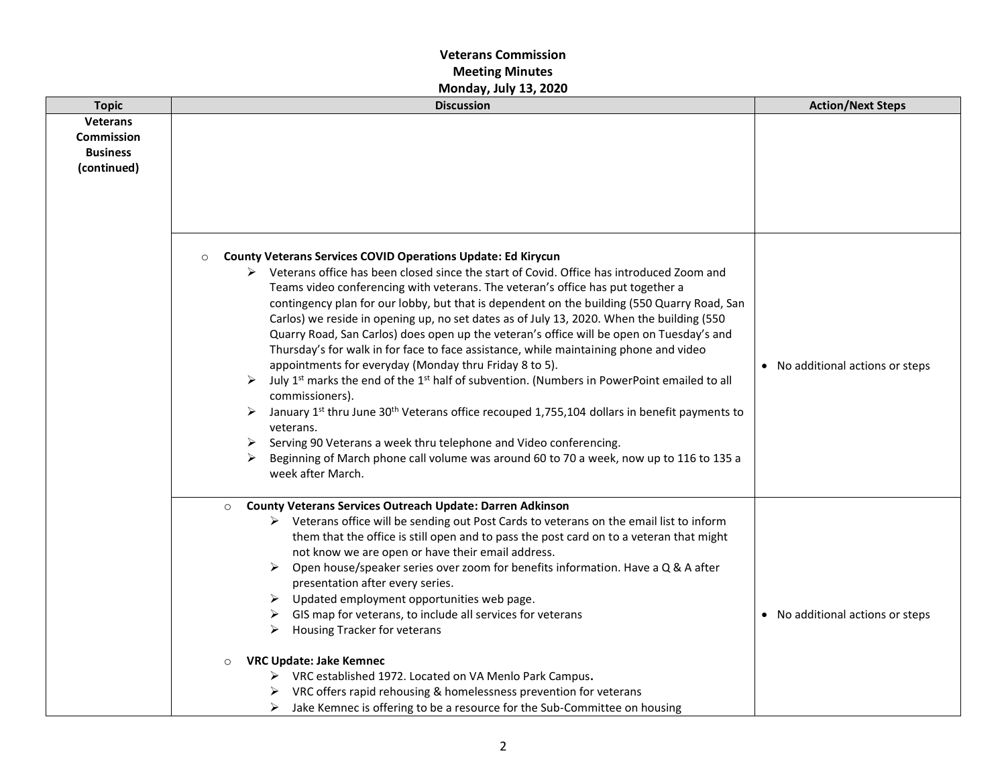| <b>Topic</b>                                                           | <b>Discussion</b>                                                                                                                                                                                                                                                                                                                                                                                                                                                                                                                                                                                                                                                                                                                                                                                                                                                                                                                                                                                                                                                                                                                                                                                | <b>Action/Next Steps</b>         |
|------------------------------------------------------------------------|--------------------------------------------------------------------------------------------------------------------------------------------------------------------------------------------------------------------------------------------------------------------------------------------------------------------------------------------------------------------------------------------------------------------------------------------------------------------------------------------------------------------------------------------------------------------------------------------------------------------------------------------------------------------------------------------------------------------------------------------------------------------------------------------------------------------------------------------------------------------------------------------------------------------------------------------------------------------------------------------------------------------------------------------------------------------------------------------------------------------------------------------------------------------------------------------------|----------------------------------|
| <b>Veterans</b><br><b>Commission</b><br><b>Business</b><br>(continued) |                                                                                                                                                                                                                                                                                                                                                                                                                                                                                                                                                                                                                                                                                                                                                                                                                                                                                                                                                                                                                                                                                                                                                                                                  |                                  |
|                                                                        | <b>County Veterans Services COVID Operations Update: Ed Kirycun</b><br>$\circ$<br>$\triangleright$ Veterans office has been closed since the start of Covid. Office has introduced Zoom and<br>Teams video conferencing with veterans. The veteran's office has put together a<br>contingency plan for our lobby, but that is dependent on the building (550 Quarry Road, San<br>Carlos) we reside in opening up, no set dates as of July 13, 2020. When the building (550<br>Quarry Road, San Carlos) does open up the veteran's office will be open on Tuesday's and<br>Thursday's for walk in for face to face assistance, while maintaining phone and video<br>appointments for everyday (Monday thru Friday 8 to 5).<br>July 1 <sup>st</sup> marks the end of the 1 <sup>st</sup> half of subvention. (Numbers in PowerPoint emailed to all<br>➤<br>commissioners).<br>January 1st thru June 30 <sup>th</sup> Veterans office recouped 1,755,104 dollars in benefit payments to<br>veterans.<br>Serving 90 Veterans a week thru telephone and Video conferencing.<br>➤<br>Beginning of March phone call volume was around 60 to 70 a week, now up to 116 to 135 a<br>➤<br>week after March. | • No additional actions or steps |
|                                                                        | <b>County Veterans Services Outreach Update: Darren Adkinson</b><br>$\circ$<br>▶ Veterans office will be sending out Post Cards to veterans on the email list to inform<br>them that the office is still open and to pass the post card on to a veteran that might<br>not know we are open or have their email address.<br>Open house/speaker series over zoom for benefits information. Have a Q & A after<br>➤<br>presentation after every series.<br>Updated employment opportunities web page.<br>➤<br>GIS map for veterans, to include all services for veterans<br>➤<br>Housing Tracker for veterans<br>➤<br><b>VRC Update: Jake Kemnec</b><br>$\circ$<br>> VRC established 1972. Located on VA Menlo Park Campus.<br>VRC offers rapid rehousing & homelessness prevention for veterans<br>Jake Kemnec is offering to be a resource for the Sub-Committee on housing<br>➤                                                                                                                                                                                                                                                                                                                  | • No additional actions or steps |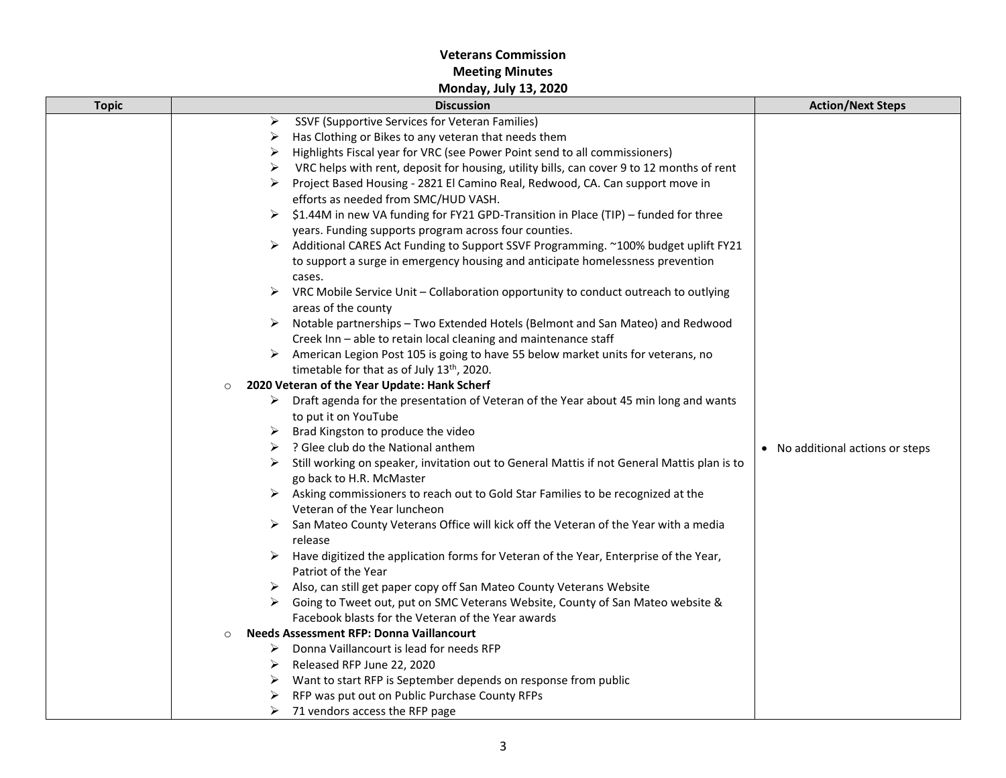| <b>Topic</b> | <b>Discussion</b>                                                                                     | <b>Action/Next Steps</b>         |
|--------------|-------------------------------------------------------------------------------------------------------|----------------------------------|
|              | SSVF (Supportive Services for Veteran Families)<br>➤                                                  |                                  |
|              | Has Clothing or Bikes to any veteran that needs them                                                  |                                  |
|              | Highlights Fiscal year for VRC (see Power Point send to all commissioners)<br>➤                       |                                  |
|              | VRC helps with rent, deposit for housing, utility bills, can cover 9 to 12 months of rent<br>➤        |                                  |
|              | Project Based Housing - 2821 El Camino Real, Redwood, CA. Can support move in                         |                                  |
|              | efforts as needed from SMC/HUD VASH.                                                                  |                                  |
|              | \$1.44M in new VA funding for FY21 GPD-Transition in Place (TIP) – funded for three                   |                                  |
|              | years. Funding supports program across four counties.                                                 |                                  |
|              | Additional CARES Act Funding to Support SSVF Programming. ~100% budget uplift FY21<br>➤               |                                  |
|              | to support a surge in emergency housing and anticipate homelessness prevention                        |                                  |
|              | cases.                                                                                                |                                  |
|              | ➤<br>VRC Mobile Service Unit - Collaboration opportunity to conduct outreach to outlying              |                                  |
|              | areas of the county                                                                                   |                                  |
|              | $\triangleright$ Notable partnerships - Two Extended Hotels (Belmont and San Mateo) and Redwood       |                                  |
|              | Creek Inn - able to retain local cleaning and maintenance staff                                       |                                  |
|              | American Legion Post 105 is going to have 55 below market units for veterans, no<br>➤                 |                                  |
|              | timetable for that as of July 13th, 2020.                                                             |                                  |
|              | 2020 Veteran of the Year Update: Hank Scherf<br>$\circ$                                               |                                  |
|              | $\triangleright$ Draft agenda for the presentation of Veteran of the Year about 45 min long and wants |                                  |
|              | to put it on YouTube                                                                                  |                                  |
|              | Brad Kingston to produce the video<br>➤                                                               |                                  |
|              | ? Glee club do the National anthem                                                                    | • No additional actions or steps |
|              | Still working on speaker, invitation out to General Mattis if not General Mattis plan is to           |                                  |
|              | go back to H.R. McMaster                                                                              |                                  |
|              | > Asking commissioners to reach out to Gold Star Families to be recognized at the                     |                                  |
|              | Veteran of the Year luncheon                                                                          |                                  |
|              | $\triangleright$ San Mateo County Veterans Office will kick off the Veteran of the Year with a media  |                                  |
|              | release                                                                                               |                                  |
|              | Have digitized the application forms for Veteran of the Year, Enterprise of the Year,                 |                                  |
|              | Patriot of the Year                                                                                   |                                  |
|              | Also, can still get paper copy off San Mateo County Veterans Website<br>➤                             |                                  |
|              | Going to Tweet out, put on SMC Veterans Website, County of San Mateo website &                        |                                  |
|              | Facebook blasts for the Veteran of the Year awards                                                    |                                  |
|              | <b>Needs Assessment RFP: Donna Vaillancourt</b><br>$\circ$                                            |                                  |
|              | Donna Vaillancourt is lead for needs RFP<br>➤                                                         |                                  |
|              | Released RFP June 22, 2020<br>➤                                                                       |                                  |
|              | Want to start RFP is September depends on response from public<br>➤                                   |                                  |
|              | RFP was put out on Public Purchase County RFPs                                                        |                                  |
|              | 71 vendors access the RFP page<br>➤                                                                   |                                  |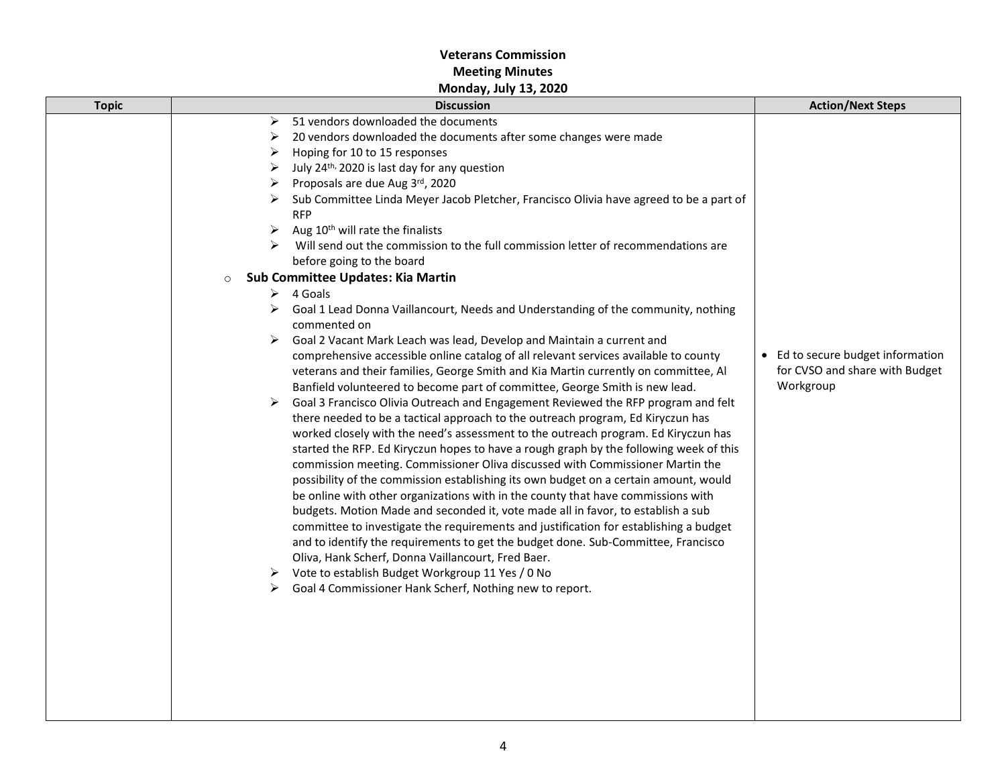| <b>Topic</b> | <b>Discussion</b>                                                                                                                                                                                                                                                                                                                                                                                                                                                                                                                                                                                                                                                                                                                                                                                                                                                                                                                                                                                                                                                                                                                                                                                                                                                                                                                                                                                                                                                                                                                                                                                                                                                                                                                                                                                                                                                                                                                                                 | <b>Action/Next Steps</b>                                                         |
|--------------|-------------------------------------------------------------------------------------------------------------------------------------------------------------------------------------------------------------------------------------------------------------------------------------------------------------------------------------------------------------------------------------------------------------------------------------------------------------------------------------------------------------------------------------------------------------------------------------------------------------------------------------------------------------------------------------------------------------------------------------------------------------------------------------------------------------------------------------------------------------------------------------------------------------------------------------------------------------------------------------------------------------------------------------------------------------------------------------------------------------------------------------------------------------------------------------------------------------------------------------------------------------------------------------------------------------------------------------------------------------------------------------------------------------------------------------------------------------------------------------------------------------------------------------------------------------------------------------------------------------------------------------------------------------------------------------------------------------------------------------------------------------------------------------------------------------------------------------------------------------------------------------------------------------------------------------------------------------------|----------------------------------------------------------------------------------|
|              | 51 vendors downloaded the documents<br>➤<br>20 vendors downloaded the documents after some changes were made<br>⋗<br>Hoping for 10 to 15 responses<br>➤<br>July 24 <sup>th,</sup> 2020 is last day for any question<br>⋗<br>Proposals are due Aug 3rd, 2020<br>➤<br>Sub Committee Linda Meyer Jacob Pletcher, Francisco Olivia have agreed to be a part of<br><b>RFP</b><br>Aug 10 <sup>th</sup> will rate the finalists<br>≻<br>Will send out the commission to the full commission letter of recommendations are<br>before going to the board<br>Sub Committee Updates: Kia Martin<br>$\circ$<br>4 Goals<br>➤<br>Goal 1 Lead Donna Vaillancourt, Needs and Understanding of the community, nothing<br>➤<br>commented on<br>Goal 2 Vacant Mark Leach was lead, Develop and Maintain a current and<br>➤<br>comprehensive accessible online catalog of all relevant services available to county<br>veterans and their families, George Smith and Kia Martin currently on committee, Al<br>Banfield volunteered to become part of committee, George Smith is new lead.<br>Goal 3 Francisco Olivia Outreach and Engagement Reviewed the RFP program and felt<br>➤<br>there needed to be a tactical approach to the outreach program, Ed Kiryczun has<br>worked closely with the need's assessment to the outreach program. Ed Kiryczun has<br>started the RFP. Ed Kiryczun hopes to have a rough graph by the following week of this<br>commission meeting. Commissioner Oliva discussed with Commissioner Martin the<br>possibility of the commission establishing its own budget on a certain amount, would<br>be online with other organizations with in the county that have commissions with<br>budgets. Motion Made and seconded it, vote made all in favor, to establish a sub<br>committee to investigate the requirements and justification for establishing a budget<br>and to identify the requirements to get the budget done. Sub-Committee, Francisco | • Ed to secure budget information<br>for CVSO and share with Budget<br>Workgroup |
|              | Oliva, Hank Scherf, Donna Vaillancourt, Fred Baer.<br>Vote to establish Budget Workgroup 11 Yes / 0 No<br>➤<br>Goal 4 Commissioner Hank Scherf, Nothing new to report.<br>⋗                                                                                                                                                                                                                                                                                                                                                                                                                                                                                                                                                                                                                                                                                                                                                                                                                                                                                                                                                                                                                                                                                                                                                                                                                                                                                                                                                                                                                                                                                                                                                                                                                                                                                                                                                                                       |                                                                                  |